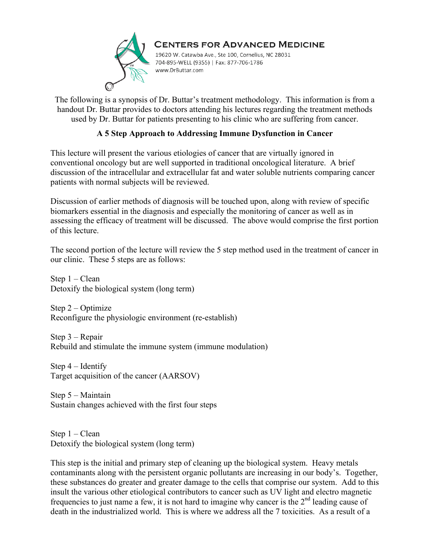

#### **CENTERS FOR ADVANCED MEDICINE** 19620 W. Catawba Ave., Ste 100, Cornelius, NC 28031 704-895-WELL (9355) | Fax: 877-706-1786 www.DrButtar.com

The following is a synopsis of Dr. Buttar's treatment methodology. This information is from a handout Dr. Buttar provides to doctors attending his lectures regarding the treatment methods used by Dr. Buttar for patients presenting to his clinic who are suffering from cancer.

### **A 5 Step Approach to Addressing Immune Dysfunction in Cancer**

This lecture will present the various etiologies of cancer that are virtually ignored in conventional oncology but are well supported in traditional oncological literature. A brief discussion of the intracellular and extracellular fat and water soluble nutrients comparing cancer patients with normal subjects will be reviewed.

Discussion of earlier methods of diagnosis will be touched upon, along with review of specific biomarkers essential in the diagnosis and especially the monitoring of cancer as well as in assessing the efficacy of treatment will be discussed. The above would comprise the first portion of this lecture.

The second portion of the lecture will review the 5 step method used in the treatment of cancer in our clinic. These 5 steps are as follows:

Step 1 – Clean Detoxify the biological system (long term)

Step 2 – Optimize Reconfigure the physiologic environment (re-establish)

Step 3 – Repair Rebuild and stimulate the immune system (immune modulation)

Step 4 – Identify Target acquisition of the cancer (AARSOV)

Step 5 – Maintain Sustain changes achieved with the first four steps

Step 1 – Clean Detoxify the biological system (long term)

This step is the initial and primary step of cleaning up the biological system. Heavy metals contaminants along with the persistent organic pollutants are increasing in our body's. Together, these substances do greater and greater damage to the cells that comprise our system. Add to this insult the various other etiological contributors to cancer such as UV light and electro magnetic frequencies to just name a few, it is not hard to imagine why cancer is the 2<sup>nd</sup> leading cause of death in the industrialized world. This is where we address all the 7 toxicities. As a result of a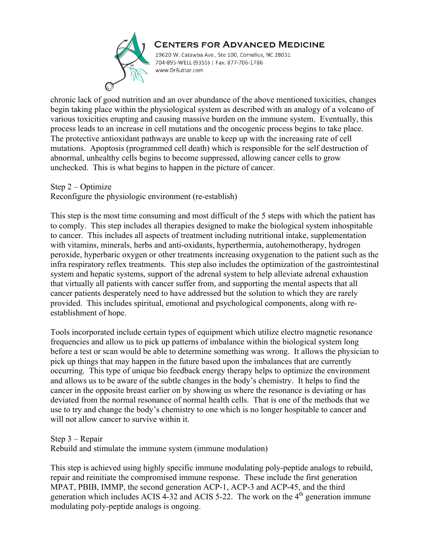

19620 W. Catawba Ave., Ste 100, Cornelius, NC 28031 704-895-WELL (9355) | Fax: 877-706-1786 www.DrButtar.com

chronic lack of good nutrition and an over abundance of the above mentioned toxicities, changes begin taking place within the physiological system as described with an analogy of a volcano of various toxicities erupting and causing massive burden on the immune system. Eventually, this process leads to an increase in cell mutations and the oncogenic process begins to take place. The protective antioxidant pathways are unable to keep up with the increasing rate of cell mutations. Apoptosis (programmed cell death) which is responsible for the self destruction of abnormal, unhealthy cells begins to become suppressed, allowing cancer cells to grow unchecked. This is what begins to happen in the picture of cancer.

Step 2 – Optimize

Reconfigure the physiologic environment (re-establish)

This step is the most time consuming and most difficult of the 5 steps with which the patient has to comply. This step includes all therapies designed to make the biological system inhospitable to cancer. This includes all aspects of treatment including nutritional intake, supplementation with vitamins, minerals, herbs and anti-oxidants, hyperthermia, autohemotherapy, hydrogen peroxide, hyperbaric oxygen or other treatments increasing oxygenation to the patient such as the infra respiratory reflex treatments. This step also includes the optimization of the gastrointestinal system and hepatic systems, support of the adrenal system to help alleviate adrenal exhaustion that virtually all patients with cancer suffer from, and supporting the mental aspects that all cancer patients desperately need to have addressed but the solution to which they are rarely provided. This includes spiritual, emotional and psychological components, along with reestablishment of hope.

Tools incorporated include certain types of equipment which utilize electro magnetic resonance frequencies and allow us to pick up patterns of imbalance within the biological system long before a test or scan would be able to determine something was wrong. It allows the physician to pick up things that may happen in the future based upon the imbalances that are currently occurring. This type of unique bio feedback energy therapy helps to optimize the environment and allows us to be aware of the subtle changes in the body's chemistry. It helps to find the cancer in the opposite breast earlier on by showing us where the resonance is deviating or has deviated from the normal resonance of normal health cells. That is one of the methods that we use to try and change the body's chemistry to one which is no longer hospitable to cancer and will not allow cancer to survive within it.

Step 3 – Repair

Rebuild and stimulate the immune system (immune modulation)

This step is achieved using highly specific immune modulating poly-peptide analogs to rebuild, repair and reinitiate the compromised immune response. These include the first generation MPAT, PBIB, IMMP, the second generation ACP-1, ACP-3 and ACP-45, and the third generation which includes ACIS  $4-32$  and ACIS 5-22. The work on the  $4<sup>th</sup>$  generation immune modulating poly-peptide analogs is ongoing.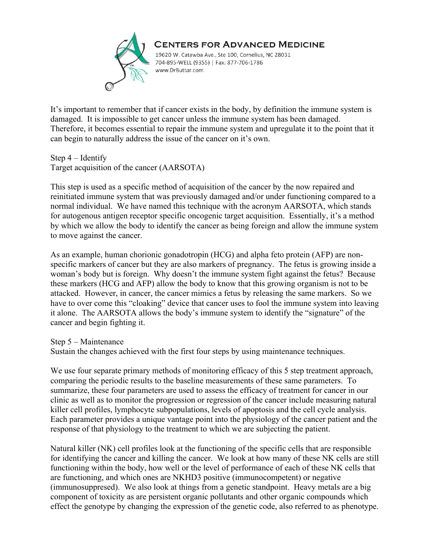

19620 W. Catawba Ave., Ste 100, Cornelius, NC 28031 704-895-WELL (9355) | Fax: 877-706-1786 www.DrButtar.com

It's important to remember that if cancer exists in the body, by definition the immune system is damaged. It is impossible to get cancer unless the immune system has been damaged. Therefore, it becomes essential to repair the immune system and upregulate it to the point that it can begin to naturally address the issue of the cancer on it's own.

Step 4 – Identify Target acquisition of the cancer (AARSOTA)

This step is used as a specific method of acquisition of the cancer by the now repaired and reinitiated immune system that was previously damaged and/or under functioning compared to a normal individual. We have named this technique with the acronym AARSOTA, which stands for autogenous antigen receptor specific oncogenic target acquisition. Essentially, it's a method by which we allow the body to identify the cancer as being foreign and allow the immune system to move against the cancer.

As an example, human chorionic gonadotropin (HCG) and alpha feto protein (AFP) are nonspecific markers of cancer but they are also markers of pregnancy. The fetus is growing inside a woman's body but is foreign. Why doesn't the immune system fight against the fetus? Because these markers (HCG and AFP) allow the body to know that this growing organism is not to be attacked. However, in cancer, the cancer mimics a fetus by releasing the same markers. So we have to over come this "cloaking" device that cancer uses to fool the immune system into leaving it alone. The AARSOTA allows the body's immune system to identify the "signature" of the cancer and begin fighting it.

Step 5 – Maintenance

Sustain the changes achieved with the first four steps by using maintenance techniques.

We use four separate primary methods of monitoring efficacy of this 5 step treatment approach, comparing the periodic results to the baseline measurements of these same parameters. To summarize, these four parameters are used to assess the efficacy of treatment for cancer in our clinic as well as to monitor the progression or regression of the cancer include measuring natural killer cell profiles, lymphocyte subpopulations, levels of apoptosis and the cell cycle analysis. Each parameter provides a unique vantage point into the physiology of the cancer patient and the response of that physiology to the treatment to which we are subjecting the patient.

Natural killer (NK) cell profiles look at the functioning of the specific cells that are responsible for identifying the cancer and killing the cancer. We look at how many of these NK cells are still functioning within the body, how well or the level of performance of each of these NK cells that are functioning, and which ones are NKHD3 positive (immunocompetent) or negative (immunosuppresed). We also look at things from a genetic standpoint. Heavy metals are a big component of toxicity as are persistent organic pollutants and other organic compounds which effect the genotype by changing the expression of the genetic code, also referred to as phenotype.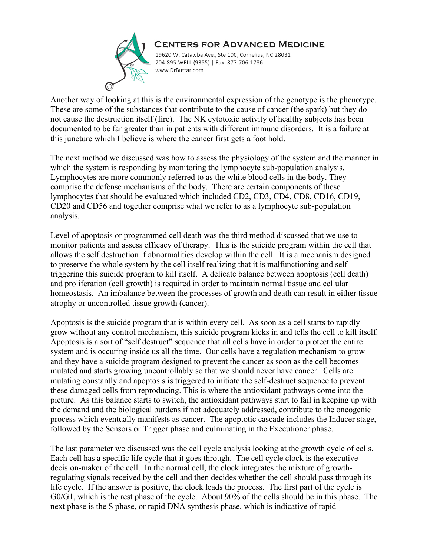

19620 W. Catawba Ave., Ste 100, Cornelius, NC 28031 704-895-WELL (9355) | Fax: 877-706-1786 www.DrButtar.com

Another way of looking at this is the environmental expression of the genotype is the phenotype. These are some of the substances that contribute to the cause of cancer (the spark) but they do not cause the destruction itself (fire). The NK cytotoxic activity of healthy subjects has been documented to be far greater than in patients with different immune disorders. It is a failure at this juncture which I believe is where the cancer first gets a foot hold.

The next method we discussed was how to assess the physiology of the system and the manner in which the system is responding by monitoring the lymphocyte sub-population analysis. Lymphocytes are more commonly referred to as the white blood cells in the body. They comprise the defense mechanisms of the body. There are certain components of these lymphocytes that should be evaluated which included CD2, CD3, CD4, CD8, CD16, CD19, CD20 and CD56 and together comprise what we refer to as a lymphocyte sub-population analysis.

Level of apoptosis or programmed cell death was the third method discussed that we use to monitor patients and assess efficacy of therapy. This is the suicide program within the cell that allows the self destruction if abnormalities develop within the cell. It is a mechanism designed to preserve the whole system by the cell itself realizing that it is malfunctioning and selftriggering this suicide program to kill itself. A delicate balance between apoptosis (cell death) and proliferation (cell growth) is required in order to maintain normal tissue and cellular homeostasis. An imbalance between the processes of growth and death can result in either tissue atrophy or uncontrolled tissue growth (cancer).

Apoptosis is the suicide program that is within every cell. As soon as a cell starts to rapidly grow without any control mechanism, this suicide program kicks in and tells the cell to kill itself. Apoptosis is a sort of "self destruct" sequence that all cells have in order to protect the entire system and is occuring inside us all the time. Our cells have a regulation mechanism to grow and they have a suicide program designed to prevent the cancer as soon as the cell becomes mutated and starts growing uncontrollably so that we should never have cancer. Cells are mutating constantly and apoptosis is triggered to initiate the self-destruct sequence to prevent these damaged cells from reproducing. This is where the antioxidant pathways come into the picture. As this balance starts to switch, the antioxidant pathways start to fail in keeping up with the demand and the biological burdens if not adequately addressed, contribute to the oncogenic process which eventually manifests as cancer. The apoptotic cascade includes the Inducer stage, followed by the Sensors or Trigger phase and culminating in the Executioner phase.

The last parameter we discussed was the cell cycle analysis looking at the growth cycle of cells. Each cell has a specific life cycle that it goes through. The cell cycle clock is the executive decision-maker of the cell. In the normal cell, the clock integrates the mixture of growthregulating signals received by the cell and then decides whether the cell should pass through its life cycle. If the answer is positive, the clock leads the process. The first part of the cycle is G0/G1, which is the rest phase of the cycle. About 90% of the cells should be in this phase. The next phase is the S phase, or rapid DNA synthesis phase, which is indicative of rapid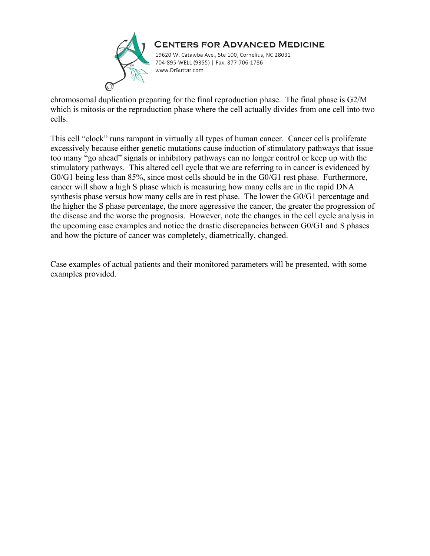

19620 W. Catawba Ave., Ste 100, Cornelius, NC 28031 704-895-WELL (9355) | Fax: 877-706-1786 www.DrButtar.com

chromosomal duplication preparing for the final reproduction phase. The final phase is G2/M which is mitosis or the reproduction phase where the cell actually divides from one cell into two cells.

This cell "clock" runs rampant in virtually all types of human cancer. Cancer cells proliferate excessively because either genetic mutations cause induction of stimulatory pathways that issue too many "go ahead" signals or inhibitory pathways can no longer control or keep up with the stimulatory pathways. This altered cell cycle that we are referring to in cancer is evidenced by G0/G1 being less than 85%, since most cells should be in the G0/G1 rest phase. Furthermore, cancer will show a high S phase which is measuring how many cells are in the rapid DNA synthesis phase versus how many cells are in rest phase. The lower the G0/G1 percentage and the higher the S phase percentage, the more aggressive the cancer, the greater the progression of the disease and the worse the prognosis. However, note the changes in the cell cycle analysis in the upcoming case examples and notice the drastic discrepancies between G0/G1 and S phases and how the picture of cancer was completely, diametrically, changed.

Case examples of actual patients and their monitored parameters will be presented, with some examples provided.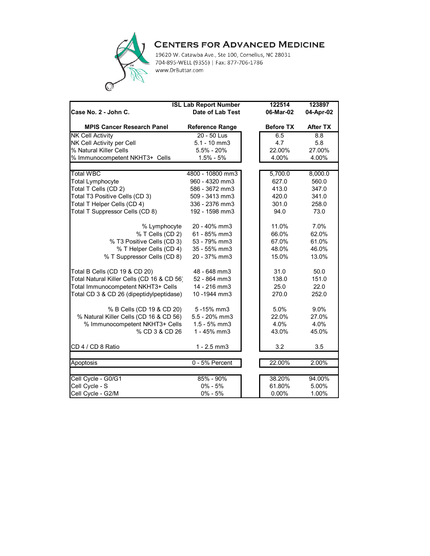

19620 W. Catawba Ave., Ste 100, Cornelius, NC 28031 704-895-WELL (9355) | Fax: 877-706-1786 www.DrButtar.com

| <b>ISL Lab Report Number</b>               |                         | 122514 | 123897           |                 |
|--------------------------------------------|-------------------------|--------|------------------|-----------------|
| Case No. 2 - John C.                       | <b>Date of Lab Test</b> |        | 06-Mar-02        | 04-Apr-02       |
| <b>MPIS Cancer Research Panel</b>          | <b>Reference Range</b>  |        | <b>Before TX</b> | <b>After TX</b> |
| <b>NK Cell Activity</b>                    | 20 - 50 Lus             |        | 6.5              | 8.8             |
| NK Cell Activity per Cell                  | $5.1 - 10$ mm $3$       |        | 4.7              | 5.8             |
| % Natural Killer Cells                     | $5.5\% - 20\%$          |        | 22.00%           | 27.00%          |
| % Immunocompetent NKHT3+ Cells             | $1.5% - 5%$             |        | 4.00%            | 4.00%           |
|                                            |                         |        |                  |                 |
| <b>Total WBC</b>                           | 4800 - 10800 mm3        |        | 5,700.0          | 8,000.0         |
| <b>Total Lymphocyte</b>                    | 960 - 4320 mm3          |        | 627.0            | 560.0           |
| Total T Cells (CD 2)                       | 586 - 3672 mm3          |        | 413.0            | 347.0           |
| Total T3 Positive Cells (CD 3)             | 509 - 3413 mm3          |        | 420.0            | 341.0           |
| Total T Helper Cells (CD 4)                | 336 - 2376 mm3          |        | 301.0            | 258.0           |
| Total T Suppressor Cells (CD 8)            | 192 - 1598 mm3          |        | 94.0             | 73.0            |
| % Lymphocyte                               | 20 - 40% mm3            |        | 11.0%            | 7.0%            |
| % T Cells (CD 2)                           | 61 - 85% mm3            |        | 66.0%            | 62.0%           |
| % T3 Positive Cells (CD 3)                 | 53 - 79% mm3            |        | 67.0%            | 61.0%           |
| % T Helper Cells (CD 4)                    | 35 - 55% mm3            |        | 48.0%            | 46.0%           |
| % T Suppressor Cells (CD 8)                | 20 - 37% mm3            |        | 15.0%            | 13.0%           |
| Total B Cells (CD 19 & CD 20)              | 48 - 648 mm3            |        | 31.0             | 50.0            |
| Total Natural Killer Cells (CD 16 & CD 56) | 52 - 864 mm3            |        | 138.0            | 151.0           |
| Total Immunocompetent NKHT3+ Cells         | 14 - 216 mm3            |        | 25.0             | 22.0            |
| Total CD 3 & CD 26 (dipeptidylpeptidase)   | 10-1944 mm3             |        | 270.0            | 252.0           |
| % B Cells (CD 19 & CD 20)                  | 5-15% mm3               |        | 5.0%             | 9.0%            |
| % Natural Killer Cells (CD 16 & CD 56)     | 5.5 - 20% mm3           |        | 22.0%            | 27.0%           |
| % Immunocompetent NKHT3+ Cells             | $1.5 - 5%$ mm3          |        | 4.0%             | 4.0%            |
| % CD 3 & CD 26                             | 1 - 45% mm3             |        | 43.0%            | 45.0%           |
| CD 4 / CD 8 Ratio                          | $1 - 2.5$ mm $3$        |        | 3.2              | 3.5             |
| Apoptosis                                  | 0 - 5% Percent          |        | 22.00%           | 2.00%           |
|                                            |                         |        |                  |                 |
| Cell Cycle - G0/G1                         | 85% - 90%               |        | 38.20%           | 94.00%          |
| Cell Cycle - S                             | $0\% - 5\%$             |        | 61.80%           | 5.00%           |
| Cell Cycle - G2/M                          | $0\% - 5\%$             |        | 0.00%            | 1.00%           |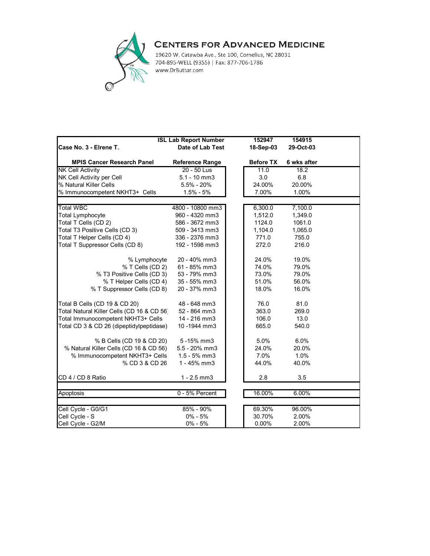

19620 W. Catawba Ave., Ste 100, Cornelius, NC 28031 704-895-WELL (9355) | Fax: 877-706-1786 www.DrButtar.com

|                                            | <b>ISL Lab Report Number</b> | 152947           | 154915      |  |
|--------------------------------------------|------------------------------|------------------|-------------|--|
| Case No. 3 - Elrene T.                     | Date of Lab Test             | 18-Sep-03        | 29-Oct-03   |  |
| <b>MPIS Cancer Research Panel</b>          | <b>Reference Range</b>       | <b>Before TX</b> | 6 wks after |  |
| <b>NK Cell Activity</b>                    | $20 - 50$ Lus                | 11.0             | 18.2        |  |
| NK Cell Activity per Cell                  | $5.1 - 10$ mm $3$            | 3.0              | 6.8         |  |
| % Natural Killer Cells                     | $5.5\% - 20\%$               | 24.00%           | 20.00%      |  |
| % Immunocompetent NKHT3+ Cells             | $1.5\% - 5\%$                | 7.00%            | 1.00%       |  |
|                                            |                              |                  |             |  |
| <b>Total WBC</b>                           | 4800 - 10800 mm3             | 6,300.0          | 7,100.0     |  |
| <b>Total Lymphocyte</b>                    | 960 - 4320 mm3               | 1,512.0          | 1,349.0     |  |
| Total T Cells (CD 2)                       | 586 - 3672 mm3               | 1124.0           | 1061.0      |  |
| Total T3 Positive Cells (CD 3)             | 509 - 3413 mm3               | 1,104.0          | 1,065.0     |  |
| Total T Helper Cells (CD 4)                | 336 - 2376 mm3               | 771.0            | 755.0       |  |
| Total T Suppressor Cells (CD 8)            | 192 - 1598 mm3               | 272.0            | 216.0       |  |
| % Lymphocyte                               | 20 - 40% mm3                 | 24.0%            | 19.0%       |  |
| % T Cells (CD 2)                           | 61 - 85% mm3                 | 74.0%            | 79.0%       |  |
| % T3 Positive Cells (CD 3)                 | 53 - 79% mm3                 | 73.0%            | 79.0%       |  |
| % T Helper Cells (CD 4)                    | 35 - 55% mm3                 | 51.0%            | 56.0%       |  |
| % T Suppressor Cells (CD 8)                | 20 - 37% mm3                 | 18.0%            | 16.0%       |  |
| Total B Cells (CD 19 & CD 20)              | 48 - 648 mm3                 | 76.0             | 81.0        |  |
| Total Natural Killer Cells (CD 16 & CD 56) | 52 - 864 mm3                 | 363.0            | 269.0       |  |
| Total Immunocompetent NKHT3+ Cells         | 14 - 216 mm3                 | 106.0            | 13.0        |  |
| Total CD 3 & CD 26 (dipeptidylpeptidase)   | 10-1944 mm3                  | 665.0            | 540.0       |  |
| % B Cells (CD 19 & CD 20)                  | 5-15% mm3                    | 5.0%             | 6.0%        |  |
| % Natural Killer Cells (CD 16 & CD 56)     | 5.5 - 20% mm3                | 24.0%            | 20.0%       |  |
| % Immunocompetent NKHT3+ Cells             | $1.5 - 5%$ mm3               | 7.0%             | 1.0%        |  |
| % CD 3 & CD 26                             | 1 - 45% mm3                  | 44.0%            | 40.0%       |  |
| CD 4 / CD 8 Ratio                          | $1 - 2.5$ mm $3$             | 2.8              | 3.5         |  |
| Apoptosis                                  | 0 - 5% Percent               | 16.00%           | 6.00%       |  |
|                                            |                              |                  |             |  |
| Cell Cycle - G0/G1                         | 85% - 90%                    | 69.30%           | 96.00%      |  |
| Cell Cycle - S                             | $0\% - 5\%$                  | 30.70%           | 2.00%       |  |
| Cell Cycle - G2/M                          | $0\% - 5\%$                  | 0.00%            | 2.00%       |  |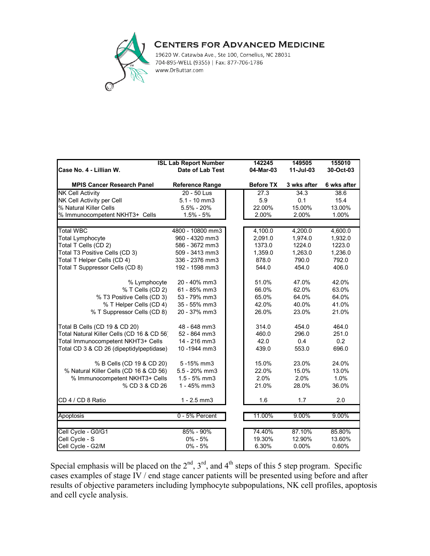

19620 W. Catawba Ave., Ste 100, Cornelius, NC 28031 704-895-WELL (9355) | Fax: 877-706-1786 www.DrButtar.com

|                                            | <b>ISL Lab Report Number</b> | 142245           | 149505      | 155010      |
|--------------------------------------------|------------------------------|------------------|-------------|-------------|
| Case No. 4 - Lillian W.                    | Date of Lab Test             | 04-Mar-03        | 11-Jul-03   | 30-Oct-03   |
|                                            |                              |                  |             |             |
| <b>MPIS Cancer Research Panel</b>          | <b>Reference Range</b>       | <b>Before TX</b> | 3 wks after | 6 wks after |
| <b>NK Cell Activity</b>                    | 20 - 50 Lus                  | 27.3             | 34.3        | 38.6        |
| NK Cell Activity per Cell                  | $5.1 - 10$ mm $3$            | 5.9              | 0.1         | 15.4        |
| % Natural Killer Cells                     | $5.5\% - 20\%$               | 22.00%           | 15.00%      | 13.00%      |
| % Immunocompetent NKHT3+ Cells             | $1.5% - 5%$                  | 2.00%            | 2.00%       | 1.00%       |
|                                            |                              |                  |             |             |
| <b>Total WBC</b>                           | 4800 - 10800 mm3             | 4,100.0          | 4,200.0     | 4,600.0     |
| <b>Total Lymphocyte</b>                    | 960 - 4320 mm3               | 2,091.0          | 1,974.0     | 1,932.0     |
| Total T Cells (CD 2)                       | 586 - 3672 mm3               | 1373.0           | 1224.0      | 1223.0      |
| Total T3 Positive Cells (CD 3)             | 509 - 3413 mm3               | 1,359.0          | 1,263.0     | 1,236.0     |
| Total T Helper Cells (CD 4)                | 336 - 2376 mm3               | 878.0            | 790.0       | 792.0       |
| Total T Suppressor Cells (CD 8)            | 192 - 1598 mm3               | 544.0            | 454.0       | 406.0       |
| % Lymphocyte                               | 20 - 40% mm3                 | 51.0%            | 47.0%       | 42.0%       |
| % T Cells (CD 2)                           | 61 - 85% mm3                 | 66.0%            | 62.0%       | 63.0%       |
| % T3 Positive Cells (CD 3)                 | 53 - 79% mm3                 | 65.0%            | 64.0%       | 64.0%       |
| % T Helper Cells (CD 4)                    | 35 - 55% mm3                 | 42.0%            | 40.0%       | 41.0%       |
| % T Suppressor Cells (CD 8)                | 20 - 37% mm3                 | 26.0%            | 23.0%       | 21.0%       |
| Total B Cells (CD 19 & CD 20)              | 48 - 648 mm3                 | 314.0            | 454.0       | 464.0       |
| Total Natural Killer Cells (CD 16 & CD 56) | 52 - 864 mm3                 | 460.0            | 296.0       | 251.0       |
| Total Immunocompetent NKHT3+ Cells         | 14 - 216 mm3                 | 42.0             | 0.4         | 0.2         |
| Total CD 3 & CD 26 (dipeptidylpeptidase)   | 10-1944 mm3                  | 439.0            | 553.0       | 696.0       |
| % B Cells (CD 19 & CD 20)                  | 5-15% mm3                    | 15.0%            | 23.0%       | 24.0%       |
| % Natural Killer Cells (CD 16 & CD 56)     | 5.5 - 20% mm3                | 22.0%            | 15.0%       | 13.0%       |
| % Immunocompetent NKHT3+ Cells             | $1.5 - 5%$ mm3               | 2.0%             | 2.0%        | 1.0%        |
| % CD 3 & CD 26                             | 1 - 45% mm3                  | 21.0%            | 28.0%       | 36.0%       |
| CD 4 / CD 8 Ratio                          | $1 - 2.5$ mm $3$             | 1.6              | 1.7         | 2.0         |
|                                            |                              |                  |             |             |
| Apoptosis                                  | 0 - 5% Percent               | 11.00%           | 9.00%       | 9.00%       |
| Cell Cycle - G0/G1                         | $85\% - 90\%$                | 74.40%           | 87.10%      | 85.80%      |
| Cell Cycle - S                             | $0\% - 5\%$                  | 19.30%           | 12.90%      | 13.60%      |
| Cell Cycle - G2/M                          | $0\% - 5\%$                  | 6.30%            | 0.00%       | 0.60%       |

Special emphasis will be placed on the  $2<sup>nd</sup>$ ,  $3<sup>rd</sup>$ , and  $4<sup>th</sup>$  steps of this 5 step program. Specific cases examples of stage IV / end stage cancer patients will be presented using before and after results of objective parameters including lymphocyte subpopulations, NK cell profiles, apoptosis and cell cycle analysis.